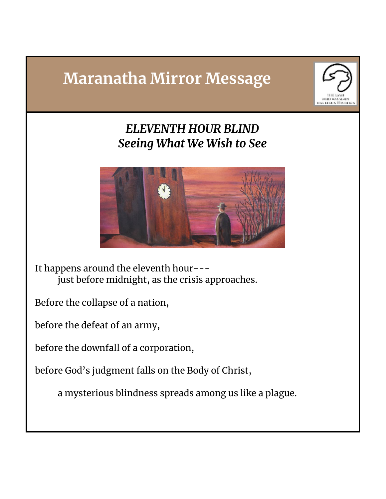## **Maranatha Mirror Message**



*ELEVENTH HOUR BLIND Seeing What We Wish to See*



It happens around the eleventh hour-- just before midnight, as the crisis approaches.

Before the collapse of a nation,

before the defeat of an army,

before the downfall of a corporation,

before God's judgment falls on the Body of Christ,

a mysterious blindness spreads among us like a plague.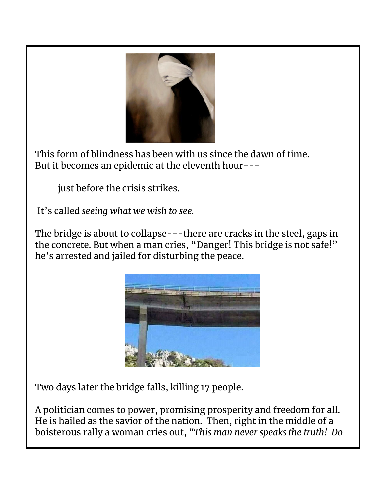

This form of blindness has been with us since the dawn of time. But it becomes an epidemic at the eleventh hour---

just before the crisis strikes.

It's called *seeing what we wish to see.*

The bridge is about to collapse---there are cracks in the steel, gaps in the concrete. But when a man cries, "Danger! This bridge is not safe!" he's arrested and jailed for disturbing the peace.



Two days later the bridge falls, killing 17 people.

A politician comes to power, promising prosperity and freedom for all. He is hailed as the savior of the nation. Then, right in the middle of a boisterous rally a woman cries out, *"This man never speaks the truth! Do*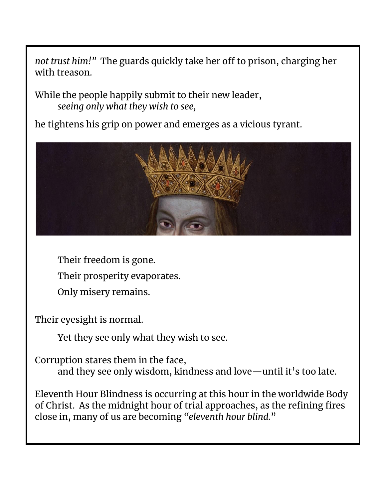*not trust him!"* The guards quickly take her off to prison, charging her with treason.

While the people happily submit to their new leader, *seeing only what they wish to see,*

he tightens his grip on power and emerges as a vicious tyrant.



Their freedom is gone. Their prosperity evaporates. Only misery remains.

Their eyesight is normal.

Yet they see only what they wish to see.

Corruption stares them in the face, and they see only wisdom, kindness and love—until it's too late.

Eleventh Hour Blindness is occurring at this hour in the worldwide Body of Christ. As the midnight hour of trial approaches, as the refining fires close in, many of us are becoming *"eleventh hour blind.*"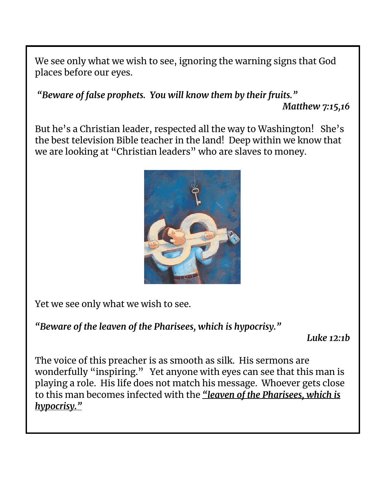We see only what we wish to see, ignoring the warning signs that God places before our eyes.

*"Beware of false prophets. You will know them by their fruits." Matthew 7:15,16*

But he's a Christian leader, respected all the way to Washington! She's the best television Bible teacher in the land! Deep within we know that we are looking at "Christian leaders" who are slaves to money.



Yet we see only what we wish to see.

*"Beware of the leaven of the Pharisees, which is hypocrisy."*

*Luke 12:1b*

The voice of this preacher is as smooth as silk. His sermons are wonderfully "inspiring." Yet anyone with eyes can see that this man is playing a role. His life does not match his message. Whoever gets close to this man becomes infected with the *"leaven of the Pharisees, which is hypocrisy."*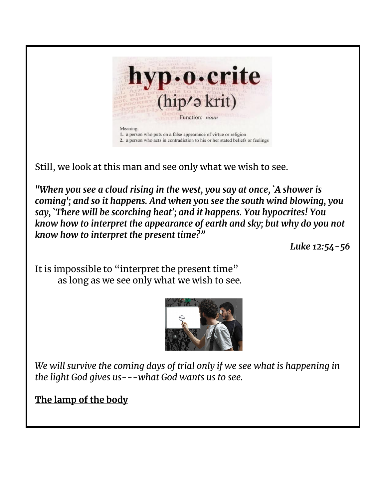

Still, we look at this man and see only what we wish to see.

*"When you see a cloud rising in the west, you say at once, `A shower is coming'; and so it happens. And when you see the south wind blowing, you say, `There will be scorching heat'; and it happens. You hypocrites! You know how to interpret the appearance of earth and sky; but why do you not know how to interpret the present time?"*

*Luke 12:54-56*

It is impossible to "interpret the present time" as long as we see only what we wish to see*.*



*We will survive the coming days of trial only if we see what is happening in the light God gives us---what God wants us to see.*

**The lamp of the body**